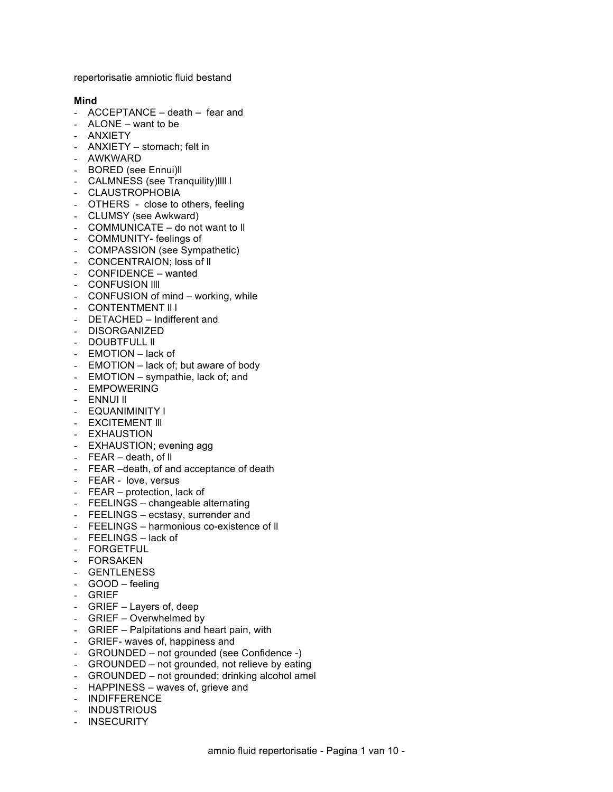repertorisatie amniotic fluid bestand

### **Mind**

- ACCEPTANCE death fear and
- ALONE want to be
- ANXIETY
- ANXIETY stomach; felt in
- AWKWARD
- BORED (see Ennui)ll
- CALMNESS (see Tranquility)llll l
- CLAUSTROPHOBIA
- OTHERS close to others, feeling
- CLUMSY (see Awkward)
- COMMUNICATE do not want to ll
- COMMUNITY- feelings of
- COMPASSION (see Sympathetic)
- CONCENTRAION; loss of ll
- CONFIDENCE wanted
- CONFUSION IIII
- CONFUSION of mind working, while
- CONTENTMENT II I
- DETACHED Indifferent and
- DISORGANIZED
- DOUBTFULL II
- EMOTION lack of
- EMOTION lack of; but aware of body
- EMOTION sympathie, lack of; and
- EMPOWERING
- **ENNUI II**
- EQUANIMINITY l
- **EXCITEMENT III**
- EXHAUSTION
- EXHAUSTION; evening agg
- FEAR death, of ll
- FEAR –death, of and acceptance of death
- FEAR love, versus
- FEAR protection, lack of
- FEELINGS changeable alternating
- FEELINGS ecstasy, surrender and
- FEELINGS harmonious co-existence of ll
- FEELINGS lack of
- FORGETFUL
- FORSAKEN
- GENTLENESS
- GOOD feeling
- GRIEF
- GRIEF Layers of, deep
- GRIEF Overwhelmed by
- GRIEF Palpitations and heart pain, with
- GRIEF- waves of, happiness and
- GROUNDED not grounded (see Confidence -)
- GROUNDED not grounded, not relieve by eating
- GROUNDED not grounded; drinking alcohol amel
- HAPPINESS waves of, grieve and
- INDIFFERENCE
- INDUSTRIOUS
- INSECURITY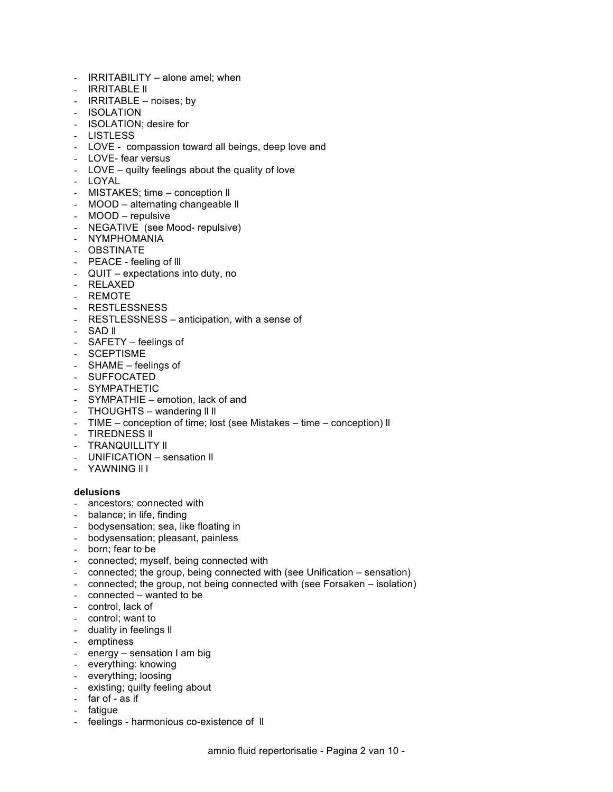- IRRITABILITY alone amel; when
- IRRITABLE ll
- IRRITABLE noises; by
- ISOLATION
- ISOLATION; desire for
- LISTLESS
- LOVE compassion toward all beings, deep love and
- LOVE- fear versus
- LOVE quilty feelings about the quality of love
- LOYAL
- MISTAKES; time conception ll
- MOOD alternating changeable ll
- MOOD repulsive
- NEGATIVE (see Mood- repulsive)
- NYMPHOMANIA
- OBSTINATE
- PEACE feeling of lll
- QUIT expectations into duty, no
- RELAXED
- REMOTE
- RESTLESSNESS
- RESTLESSNESS anticipation, with a sense of
- SAD ll
- SAFETY feelings of
- SCEPTISME
- SHAME feelings of
- SUFFOCATED
- SYMPATHETIC
- SYMPATHIE emotion, lack of and
- THOUGHTS wandering II II
- TIME conception of time; lost (see Mistakes time conception) ll
- TIREDNESS II
- **TRANQUILLITY II**
- UNIFICATION sensation ll
- YAWNING ll l

### **delusions**

- ancestors; connected with
- balance; in life, finding
- bodysensation; sea, like floating in
- bodysensation; pleasant, painless
- born; fear to be
- connected; myself, being connected with
- connected; the group, being connected with (see Unification sensation)
- connected; the group, not being connected with (see Forsaken isolation)
- connected wanted to be
- control, lack of
- control; want to
- duality in feelings ll
- emptiness
- energy sensation I am big
- everything: knowing
- everything; loosing
- existing; quilty feeling about
- far of as if
- fatigue
- feelings harmonious co-existence of II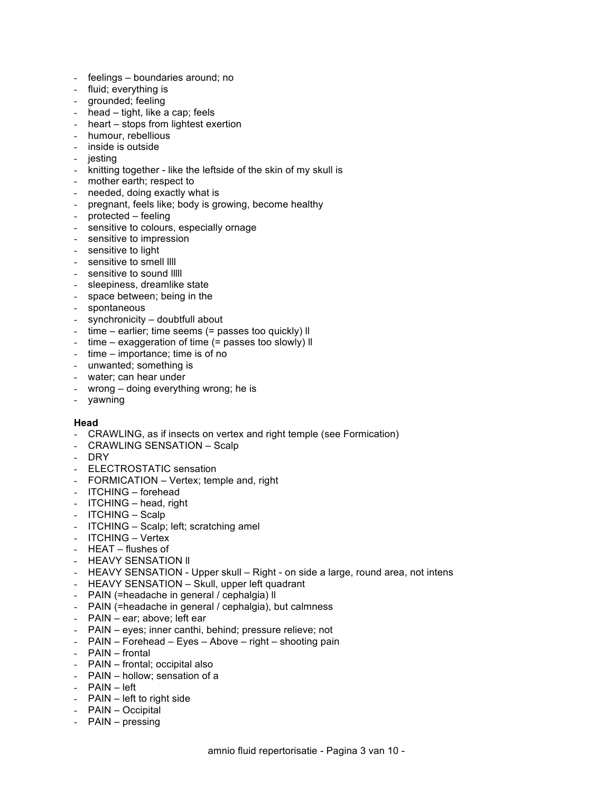- feelings boundaries around; no
- 
- fluid; everything is<br>- arounded; feeling grounded; feeling
- head tight, like a cap; feels
- heart stops from lightest exertion
- humour, rebellious
- inside is outside
- jesting
- knitting together like the leftside of the skin of my skull is
- mother earth; respect to
- needed, doing exactly what is
- pregnant, feels like; body is growing, become healthy
- protected feeling
- sensitive to colours, especially ornage
- sensitive to impression
- sensitive to light
- sensitive to smell llll
- sensitive to sound lllll
- sleepiness, dreamlike state
- space between; being in the
- spontaneous
- synchronicity doubtfull about
- time earlier; time seems (= passes too quickly) II
- time exaggeration of time (= passes too slowly) ll
- time importance; time is of no
- unwanted; something is
- water; can hear under
- wrong doing everything wrong; he is
- yawning

#### **Head**

- CRAWLING, as if insects on vertex and right temple (see Formication)
- CRAWLING SENSATION Scalp
- DRY
- ELECTROSTATIC sensation
- FORMICATION Vertex; temple and, right
- ITCHING forehead
- ITCHING head, right
- ITCHING Scalp
- ITCHING Scalp; left; scratching amel
- ITCHING Vertex
- HEAT flushes of
- HEAVY SENSATION II
- HEAVY SENSATION Upper skull Right on side a large, round area, not intens
- HEAVY SENSATION Skull, upper left quadrant
- PAIN (=headache in general / cephalgia) ll
- PAIN (=headache in general / cephalgia), but calmness
- PAIN ear; above; left ear
- PAIN eyes; inner canthi, behind; pressure relieve; not
- PAIN Forehead Eyes Above right shooting pain
- PAIN frontal
- PAIN frontal; occipital also
- PAIN hollow; sensation of a
- PAIN left
- PAIN left to right side
- PAIN Occipital
- PAIN pressing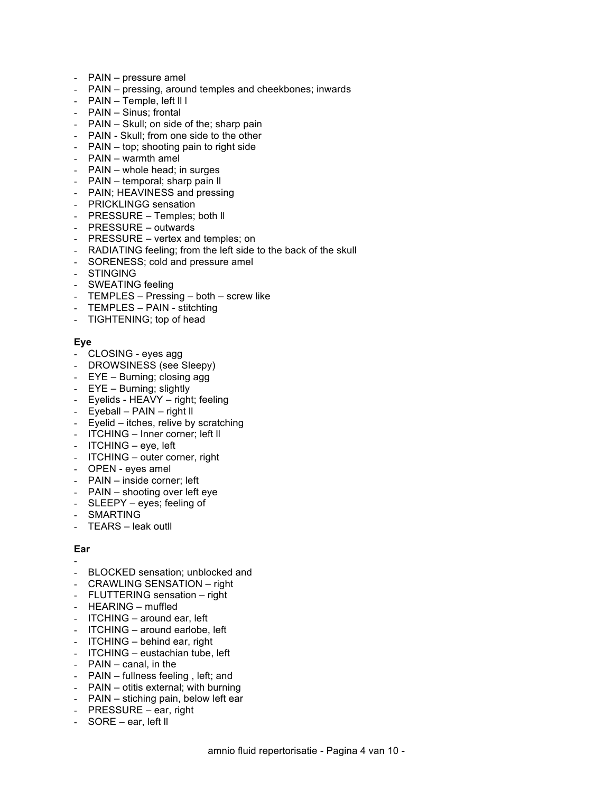- PAIN pressure amel
- PAIN pressing, around temples and cheekbones; inwards
- PAIN Temple, left ll l
- PAIN Sinus; frontal
- PAIN Skull; on side of the; sharp pain
- PAIN Skull; from one side to the other
- PAIN top; shooting pain to right side
- PAIN warmth amel
- PAIN whole head; in surges
- PAIN temporal; sharp pain ll
- PAIN; HEAVINESS and pressing
- PRICKLINGG sensation
- PRESSURE Temples; both ll
- PRESSURE outwards
- PRESSURE vertex and temples; on
- RADIATING feeling; from the left side to the back of the skull
- SORENESS; cold and pressure amel
- STINGING
- SWEATING feeling
- TEMPLES Pressing both screw like
- TEMPLES PAIN stitchting
- TIGHTENING; top of head

# **Eye**

- CLOSING eyes agg
- DROWSINESS (see Sleepy)
- EYE Burning; closing agg
- EYE Burning; slightly
- Eyelids HEAVY right; feeling
- Eyeball PAIN right ll
- Eyelid itches, relive by scratching
- ITCHING Inner corner; left ll
- ITCHING eye, left
- ITCHING outer corner, right
- OPEN eyes amel
- PAIN inside corner; left
- PAIN shooting over left eye
- SLEEPY eyes; feeling of
- SMARTING
- TEARS leak outll

# **Ear**

- -
- BLOCKED sensation; unblocked and
- CRAWLING SENSATION right
- FLUTTERING sensation right
- HEARING muffled
- ITCHING around ear, left
- ITCHING around earlobe, left
- ITCHING behind ear, right
- ITCHING eustachian tube, left
- PAIN canal, in the
- PAIN fullness feeling , left; and
- PAIN otitis external; with burning
- PAIN stiching pain, below left ear
- PRESSURE ear, right
- SORE ear, left ll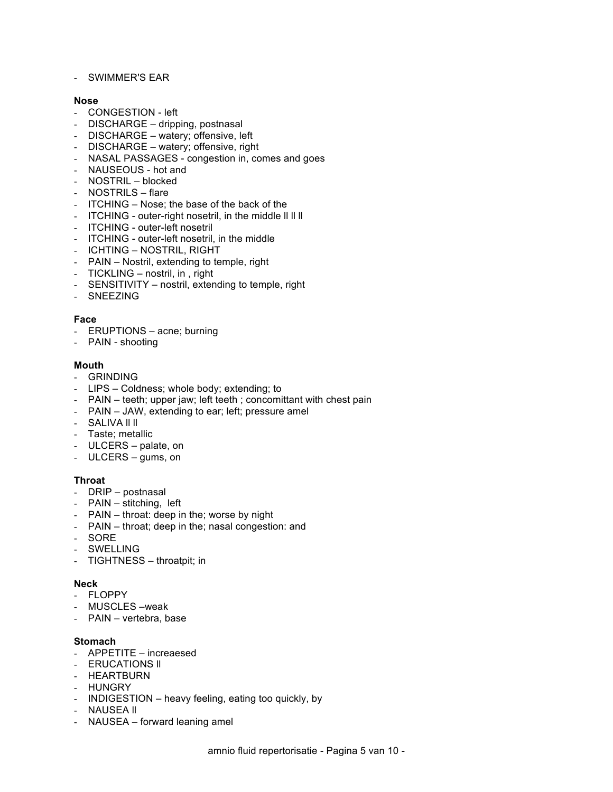- SWIMMER'S EAR

## **Nose**

- CONGESTION left
- DISCHARGE dripping, postnasal
- DISCHARGE watery; offensive, left
- DISCHARGE watery; offensive, right
- NASAL PASSAGES congestion in, comes and goes
- NAUSEOUS hot and
- NOSTRIL blocked
- NOSTRILS flare
- ITCHING Nose; the base of the back of the
- ITCHING outer-right nosetril, in the middle ll ll ll
- ITCHING outer-left nosetril
- ITCHING outer-left nosetril, in the middle
- ICHTING NOSTRIL, RIGHT
- PAIN Nostril, extending to temple, right
- TICKLING nostril, in , right
- SENSITIVITY nostril, extending to temple, right
- SNEEZING

# **Face**

- ERUPTIONS acne; burning
- PAIN shooting

## **Mouth**

- GRINDING
- LIPS Coldness; whole body; extending; to
- PAIN teeth; upper jaw; left teeth ; concomittant with chest pain
- PAIN JAW, extending to ear; left; pressure amel
- SALIVA II II
- Taste; metallic
- ULCERS palate, on
- ULCERS gums, on

## **Throat**

- DRIP postnasal
- PAIN stitching, left
- PAIN throat: deep in the; worse by night
- PAIN throat; deep in the; nasal congestion: and
- SORE
- **SWELLING**
- TIGHTNESS throatpit; in

## **Neck**

- FLOPPY
- MUSCLES –weak
- PAIN vertebra, base

## **Stomach**

- APPETITE increaesed
- ERUCATIONS ll
- HEARTBURN
- HUNGRY
- INDIGESTION heavy feeling, eating too quickly, by
- NAUSEA II
- NAUSEA forward leaning amel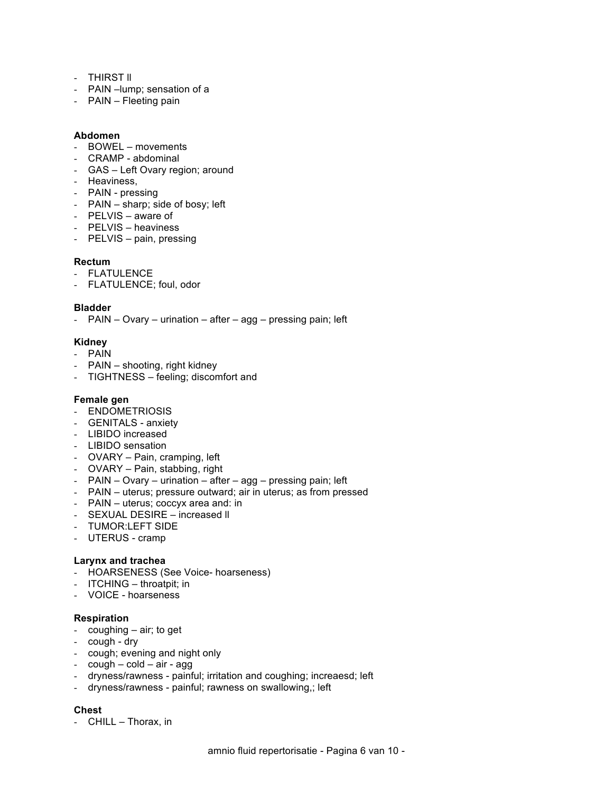- THIRST II
- PAIN –lump; sensation of a
- PAIN Fleeting pain

### **Abdomen**

- BOWEL movements
- CRAMP abdominal
- GAS Left Ovary region; around
- Heaviness,
- PAIN pressing
- PAIN sharp; side of bosy; left
- PELVIS aware of
- PELVIS heaviness
- PELVIS pain, pressing

### **Rectum**

- FLATULENCE
- FLATULENCE; foul, odor

### **Bladder**

- PAIN – Ovary – urination – after – agg – pressing pain; left

## **Kidney**

- PAIN
- PAIN shooting, right kidney
- TIGHTNESS feeling; discomfort and

#### **Female gen**

- ENDOMETRIOSIS
- GENITALS anxiety
- LIBIDO increased
- LIBIDO sensation
- OVARY Pain, cramping, left
- OVARY Pain, stabbing, right
- PAIN Ovary urination after agg pressing pain; left
- PAIN uterus; pressure outward; air in uterus; as from pressed
- PAIN uterus; coccyx area and: in
- SEXUAL DESIRE increased ll
- TUMOR:LEFT SIDE
- UTERUS cramp

## **Larynx and trachea**

- HOARSENESS (See Voice- hoarseness)
- ITCHING throatpit; in
- VOICE hoarseness

## **Respiration**

- coughing air; to get
- cough dry
- cough; evening and night only
- $-$  cough  $-$  cold  $-$  air  $-$  agg
- dryness/rawness painful; irritation and coughing; increaesd; left
- dryness/rawness painful; rawness on swallowing,; left

## **Chest**

- CHILL – Thorax, in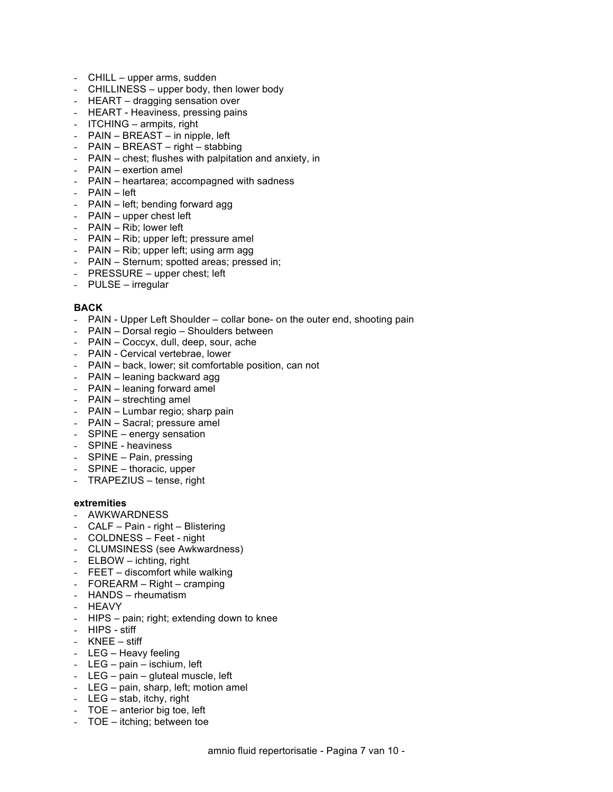- CHILL upper arms, sudden
- CHILLINESS upper body, then lower body
- HEART dragging sensation over
- HEART Heaviness, pressing pains
- ITCHING armpits, right
- PAIN BREAST in nipple, left
- PAIN BREAST right stabbing
- PAIN chest; flushes with palpitation and anxiety, in
- PAIN exertion amel
- PAIN heartarea; accompagned with sadness
- PAIN left
- PAIN left; bending forward agg
- PAIN upper chest left
- PAIN Rib; lower left
- PAIN Rib; upper left; pressure amel
- PAIN Rib; upper left; using arm agg
- PAIN Sternum; spotted areas; pressed in;
- PRESSURE upper chest; left
- PULSE irregular

### **BACK**

- PAIN Upper Left Shoulder collar bone- on the outer end, shooting pain
- PAIN Dorsal regio Shoulders between
- PAIN Coccyx, dull, deep, sour, ache
- PAIN Cervical vertebrae, lower
- PAIN back, lower; sit comfortable position, can not
- PAIN leaning backward agg
- PAIN leaning forward amel
- PAIN strechting amel
- PAIN Lumbar regio; sharp pain
- PAIN Sacral; pressure amel
- SPINE energy sensation
- SPINE heaviness
- SPINE Pain, pressing
- SPINE thoracic, upper
- TRAPEZIUS tense, right

#### **extremities**

- AWKWARDNESS
- CALF Pain right Blistering
- COLDNESS Feet night
- CLUMSINESS (see Awkwardness)
- ELBOW ichting, right
- FEET discomfort while walking
- FOREARM Right cramping
- HANDS rheumatism
- HEAVY
- HIPS pain; right; extending down to knee
- HIPS stiff
- KNEE stiff
- LEG Heavy feeling
- LEG pain ischium, left
- LEG pain gluteal muscle, left
- LEG pain, sharp, left; motion amel
- LEG stab, itchy, right
- TOE anterior big toe, left
- TOE itching; between toe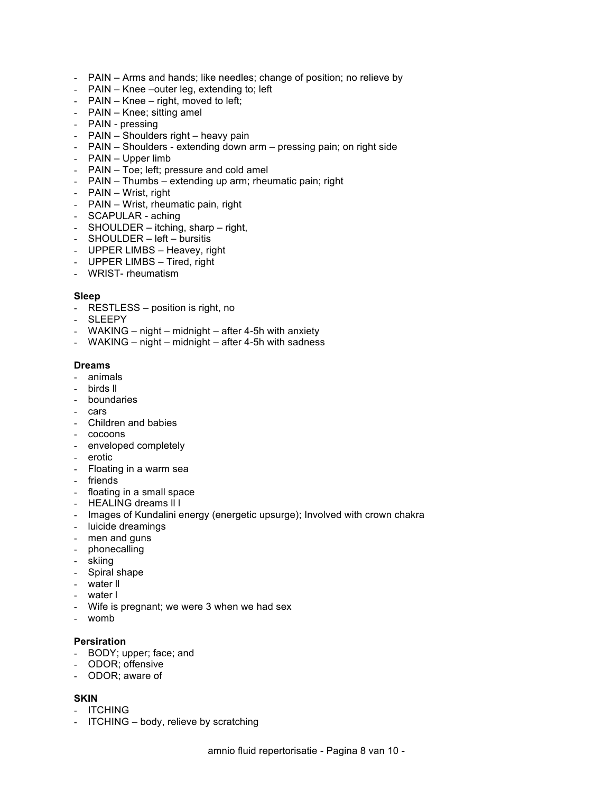- PAIN Arms and hands; like needles; change of position; no relieve by
- PAIN Knee –outer leg, extending to; left
- PAIN Knee right, moved to left;
- PAIN Knee; sitting amel
- PAIN pressing
- PAIN Shoulders right heavy pain
- PAIN Shoulders extending down arm pressing pain; on right side
- PAIN Upper limb
- PAIN Toe; left; pressure and cold amel
- PAIN Thumbs extending up arm; rheumatic pain; right
- PAIN Wrist, right
- PAIN Wrist, rheumatic pain, right
- SCAPULAR aching
- SHOULDER itching, sharp right,
- SHOULDER left bursitis
- UPPER LIMBS Heavey, right
- UPPER LIMBS Tired, right
- WRIST- rheumatism

### **Sleep**

- RESTLESS position is right, no
- SLEEPY
- WAKING night midnight after 4-5h with anxiety
- WAKING night midnight after 4-5h with sadness

### **Dreams**

- animals
- birds ll
- boundaries
- cars
- Children and babies
- cocoons
- enveloped completely
- erotic
- Floating in a warm sea
- friends
- floating in a small space
- HEALING dreams II I
- Images of Kundalini energy (energetic upsurge); Involved with crown chakra
- luicide dreamings
- men and guns
- phonecalling
- skiing
- Spiral shape
- water ll
- water l
- Wife is pregnant; we were 3 when we had sex
- womb

#### **Persiration**

- BODY; upper; face; and
- ODOR; offensive
- ODOR; aware of

## **SKIN**

- ITCHING
- ITCHING body, relieve by scratching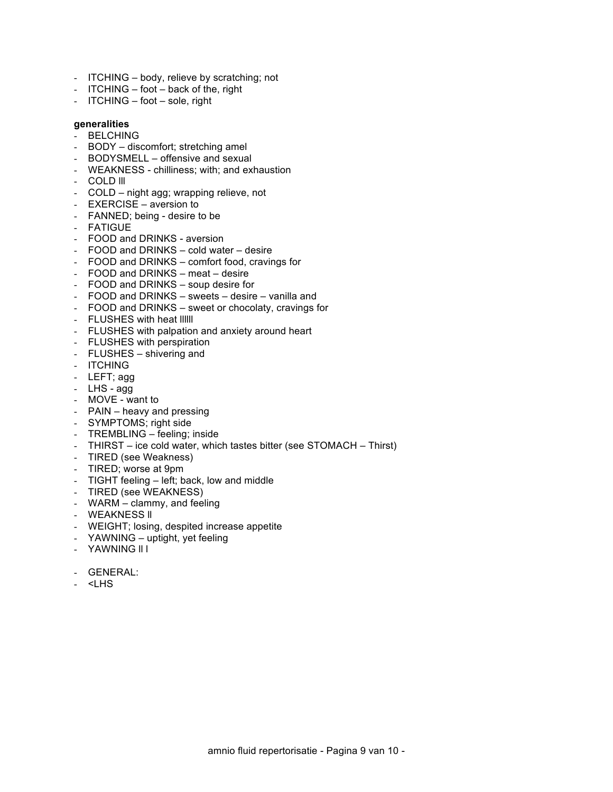- ITCHING body, relieve by scratching; not
- ITCHING foot back of the, right
- ITCHING foot sole, right

## **generalities**

- BELCHING
- BODY discomfort; stretching amel
- BODYSMELL offensive and sexual
- WEAKNESS chilliness; with; and exhaustion
- COLD lll
- COLD night agg; wrapping relieve, not
- EXERCISE aversion to
- FANNED; being desire to be
- FATIGUE
- FOOD and DRINKS aversion
- FOOD and DRINKS cold water desire
- FOOD and DRINKS comfort food, cravings for
- FOOD and DRINKS meat desire
- FOOD and DRINKS soup desire for
- FOOD and DRINKS sweets desire vanilla and
- FOOD and DRINKS sweet or chocolaty, cravings for
- FLUSHES with heat IIIIII
- FLUSHES with palpation and anxiety around heart
- FLUSHES with perspiration
- FLUSHES shivering and
- ITCHING
- LEFT; agg
- LHS agg
- MOVE want to
- PAIN heavy and pressing
- SYMPTOMS; right side
- TREMBLING feeling; inside
- THIRST ice cold water, which tastes bitter (see STOMACH Thirst)
- TIRED (see Weakness)
- TIRED; worse at 9pm
- TIGHT feeling left; back, low and middle
- TIRED (see WEAKNESS)
- WARM clammy, and feeling
- WEAKNESS ll
- WEIGHT; losing, despited increase appetite
- YAWNING uptight, yet feeling
- YAWNING ll l
- GENERAL:
- <LHS